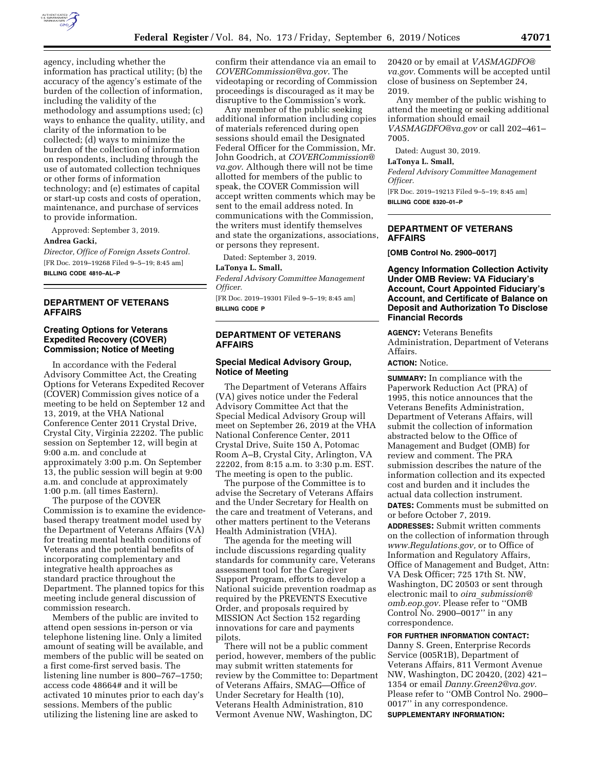

agency, including whether the information has practical utility; (b) the accuracy of the agency's estimate of the burden of the collection of information, including the validity of the methodology and assumptions used; (c) ways to enhance the quality, utility, and clarity of the information to be collected; (d) ways to minimize the burden of the collection of information on respondents, including through the use of automated collection techniques or other forms of information technology; and (e) estimates of capital or start-up costs and costs of operation, maintenance, and purchase of services to provide information.

Approved: September 3, 2019.

### **Andrea Gacki,**

*Director, Office of Foreign Assets Control.*  [FR Doc. 2019–19268 Filed 9–5–19; 8:45 am] **BILLING CODE 4810–AL–P** 

## **DEPARTMENT OF VETERANS AFFAIRS**

### **Creating Options for Veterans Expedited Recovery (COVER) Commission; Notice of Meeting**

In accordance with the Federal Advisory Committee Act, the Creating Options for Veterans Expedited Recover (COVER) Commission gives notice of a meeting to be held on September 12 and 13, 2019, at the VHA National Conference Center 2011 Crystal Drive, Crystal City, Virginia 22202. The public session on September 12, will begin at 9:00 a.m. and conclude at approximately 3:00 p.m. On September 13, the public session will begin at 9:00 a.m. and conclude at approximately 1:00 p.m. (all times Eastern).

The purpose of the COVER Commission is to examine the evidencebased therapy treatment model used by the Department of Veterans Affairs (VA) for treating mental health conditions of Veterans and the potential benefits of incorporating complementary and integrative health approaches as standard practice throughout the Department. The planned topics for this meeting include general discussion of commission research.

Members of the public are invited to attend open sessions in-person or via telephone listening line. Only a limited amount of seating will be available, and members of the public will be seated on a first come-first served basis. The listening line number is 800–767–1750; access code 48664# and it will be activated 10 minutes prior to each day's sessions. Members of the public utilizing the listening line are asked to

confirm their attendance via an email to *[COVERCommission@va.gov](mailto:COVERCommission@va.gov)*. The videotaping or recording of Commission proceedings is discouraged as it may be disruptive to the Commission's work.

Any member of the public seeking additional information including copies of materials referenced during open sessions should email the Designated Federal Officer for the Commission, Mr. John Goodrich, at *[COVERCommission@](mailto:COVERCommission@va.gov) [va.gov](mailto:COVERCommission@va.gov)*. Although there will not be time allotted for members of the public to speak, the COVER Commission will accept written comments which may be sent to the email address noted. In communications with the Commission, the writers must identify themselves and state the organizations, associations, or persons they represent.

Dated: September 3, 2019.

#### **LaTonya L. Small,**

*Federal Advisory Committee Management Officer.* 

[FR Doc. 2019–19301 Filed 9–5–19; 8:45 am] **BILLING CODE P** 

## **DEPARTMENT OF VETERANS AFFAIRS**

### **Special Medical Advisory Group, Notice of Meeting**

The Department of Veterans Affairs (VA) gives notice under the Federal Advisory Committee Act that the Special Medical Advisory Group will meet on September 26, 2019 at the VHA National Conference Center, 2011 Crystal Drive, Suite 150 A, Potomac Room A–B, Crystal City, Arlington, VA 22202, from 8:15 a.m. to 3:30 p.m. EST. The meeting is open to the public.

The purpose of the Committee is to advise the Secretary of Veterans Affairs and the Under Secretary for Health on the care and treatment of Veterans, and other matters pertinent to the Veterans Health Administration (VHA).

The agenda for the meeting will include discussions regarding quality standards for community care, Veterans assessment tool for the Caregiver Support Program, efforts to develop a National suicide prevention roadmap as required by the PREVENTS Executive Order, and proposals required by MISSION Act Section 152 regarding innovations for care and payments pilots.

There will not be a public comment period, however, members of the public may submit written statements for review by the Committee to: Department of Veterans Affairs, SMAG—Office of Under Secretary for Health (10), Veterans Health Administration, 810 Vermont Avenue NW, Washington, DC

20420 or by email at *[VASMAGDFO@](mailto:VASMAGDFO@va.gov) [va.gov.](mailto:VASMAGDFO@va.gov)* Comments will be accepted until close of business on September 24, 2019.

Any member of the public wishing to attend the meeting or seeking additional information should email *[VASMAGDFO@va.gov](mailto:VASMAGDFO@va.gov)* or call 202–461–

7005.

Dated: August 30, 2019.

#### **LaTonya L. Small,**

*Federal Advisory Committee Management Officer.* 

[FR Doc. 2019–19213 Filed 9–5–19; 8:45 am] **BILLING CODE 8320–01–P** 

## **DEPARTMENT OF VETERANS AFFAIRS**

**[OMB Control No. 2900–0017]** 

**Agency Information Collection Activity Under OMB Review: VA Fiduciary's Account, Court Appointed Fiduciary's Account, and Certificate of Balance on Deposit and Authorization To Disclose Financial Records** 

**AGENCY:** Veterans Benefits Administration, Department of Veterans Affairs.

## **ACTION:** Notice.

**SUMMARY:** In compliance with the Paperwork Reduction Act (PRA) of 1995, this notice announces that the Veterans Benefits Administration, Department of Veterans Affairs, will submit the collection of information abstracted below to the Office of Management and Budget (OMB) for review and comment. The PRA submission describes the nature of the information collection and its expected cost and burden and it includes the actual data collection instrument. **DATES:** Comments must be submitted on or before October 7, 2019.

**ADDRESSES:** Submit written comments on the collection of information through *[www.Regulations.gov,](http://www.Regulations.gov)* or to Office of Information and Regulatory Affairs, Office of Management and Budget, Attn: VA Desk Officer; 725 17th St. NW, Washington, DC 20503 or sent through electronic mail to *oira*\_*[submission@](mailto:oira_submission@omb.eop.gov) [omb.eop.gov.](mailto:oira_submission@omb.eop.gov)* Please refer to ''OMB Control No. 2900–0017'' in any correspondence.

#### **FOR FURTHER INFORMATION CONTACT:**

Danny S. Green, Enterprise Records Service (005R1B), Department of Veterans Affairs, 811 Vermont Avenue NW, Washington, DC 20420, (202) 421– 1354 or email *[Danny.Green2@va.gov.](mailto:Danny.Green2@va.gov)*  Please refer to ''OMB Control No. 2900– 0017'' in any correspondence. **SUPPLEMENTARY INFORMATION:**